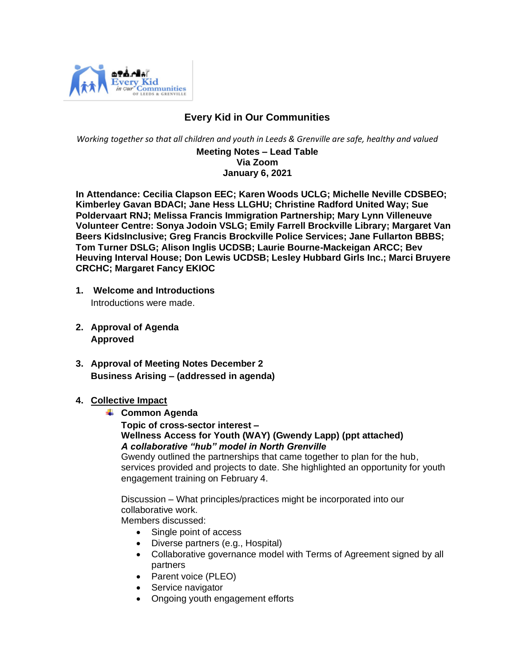

# **Every Kid in Our Communities**

*Working together so that all children and youth in Leeds & Grenville are safe, healthy and valued*

#### **Meeting Notes – Lead Table Via Zoom January 6, 2021**

 **In Attendance: Cecilia Clapson EEC; Karen Woods UCLG; Michelle Neville CDSBEO; Kimberley Gavan BDACI; Jane Hess LLGHU; Christine Radford United Way; Sue Poldervaart RNJ; Melissa Francis Immigration Partnership; Mary Lynn Villeneuve Volunteer Centre: Sonya Jodoin VSLG; Emily Farrell Brockville Library; Margaret Van Beers KidsInclusive; Greg Francis Brockville Police Services; Jane Fullarton BBBS; Tom Turner DSLG; Alison Inglis UCDSB; Laurie Bourne-Mackeigan ARCC; Bev Heuving Interval House; Don Lewis UCDSB; Lesley Hubbard Girls Inc.; Marci Bruyere CRCHC; Margaret Fancy EKIOC**

- **1. Welcome and Introductions** Introductions were made.
- **2. Approval of Agenda Approved**
- **3. Approval of Meeting Notes December 2 Business Arising – (addressed in agenda)**
- **4. Collective Impact** 
	- **↓ Common Agenda**

**Topic of cross-sector interest – Wellness Access for Youth (WAY) (Gwendy Lapp) (ppt attached)** *A collaborative "hub" model in North Grenville*

Gwendy outlined the partnerships that came together to plan for the hub, services provided and projects to date. She highlighted an opportunity for youth engagement training on February 4.

Discussion – What principles/practices might be incorporated into our collaborative work.

Members discussed:

- Single point of access
- Diverse partners (e.g., Hospital)
- Collaborative governance model with Terms of Agreement signed by all partners
- Parent voice (PLEO)
- Service navigator
- Ongoing youth engagement efforts